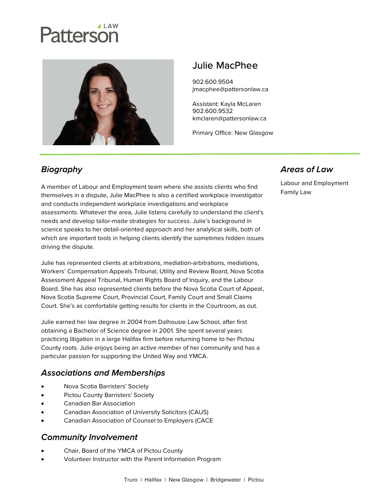# Patterson



# Julie MacPhee

902.600.9504 jmacphee@pattersonlaw.ca

Assistant: Kayla McLaren 902.600.9532 kmclaren@pattersonlaw.ca

Primary Office: New Glasgow

## **Biography**

A member of Labour and Employment team where she assists clients who find themselves in a dispute, Julie MacPhee is also a certified workplace investigator and conducts independent workplace investigations and workplace assessments. Whatever the area, Julie listens carefully to understand the client's needs and develop tailor-made strategies for success. Julie's background in science speaks to her detail-oriented approach and her analytical skills, both of which are important tools in helping clients identify the sometimes hidden issues driving the dispute.

Julie has represented clients at arbitrations, mediation-arbitrations, mediations, Workers' Compensation Appeals Tribunal, Utility and Review Board, Nova Scotia Assessment Appeal Tribunal, Human Rights Board of Inquiry, and the Labour Board. She has also represented clients before the Nova Scotia Court of Appeal, Nova Scotia Supreme Court, Provincial Court, Family Court and Small Claims Court. She's as comfortable getting results for clients in the Courtroom, as out.

Julie earned her law degree in 2004 from Dalhousie Law School, after first obtaining a Bachelor of Science degree in 2001. She spent several years practicing litigation in a large Halifax firm before returning home to her Pictou County roots. Julie enjoys being an active member of her community and has a particular passion for supporting the United Way and YMCA.

#### **Associations and Memberships**

- Nova Scotia Barristers' Society
- Pictou County Barristers' Society
- Canadian Bar Association
- Canadian Association of University Solicitors (CAUS)
- Canadian Association of Counsel to Employers (CACE

#### **Community Involvement**

- Chair, Board of the YMCA of Pictou County
- Volunteer Instructor with the Parent Information Program

#### **Areas of Law**

Labour and Employment Family Law